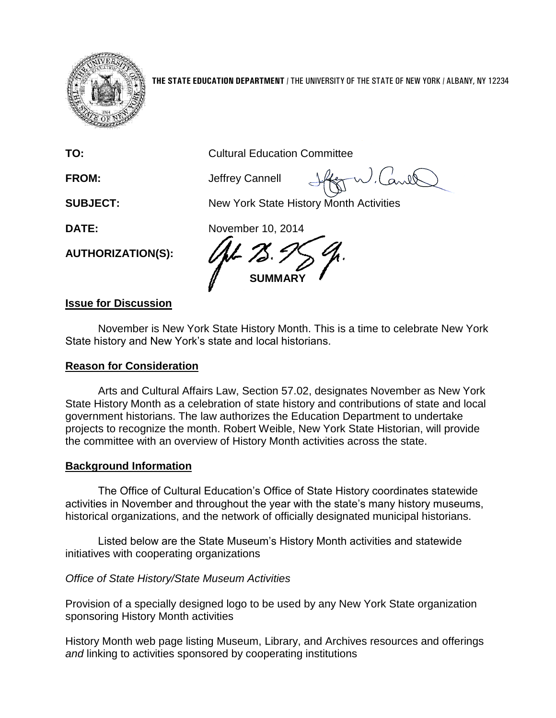

**THE STATE EDUCATION DEPARTMENT** / THE UNIVERSITY OF THE STATE OF NEW YORK / ALBANY, NY 12234

**TO:** Cultural Education Committee

**FROM:** Jeffrey Cannell

arel

**SUBJECT:** New York State History Month Activities

**DATE:** November 10, 2014

**AUTHORIZATION(S):**

**SUMMARY**

# **Issue for Discussion**

November is New York State History Month. This is a time to celebrate New York State history and New York's state and local historians.

# **Reason for Consideration**

Arts and Cultural Affairs Law, Section 57.02, designates November as New York State History Month as a celebration of state history and contributions of state and local government historians. The law authorizes the Education Department to undertake projects to recognize the month. Robert Weible, New York State Historian, will provide the committee with an overview of History Month activities across the state.

# **Background Information**

The Office of Cultural Education's Office of State History coordinates statewide activities in November and throughout the year with the state's many history museums, historical organizations, and the network of officially designated municipal historians.

Listed below are the State Museum's History Month activities and statewide initiatives with cooperating organizations

# *Office of State History/State Museum Activities*

Provision of a specially designed logo to be used by any New York State organization sponsoring History Month activities

History Month web page listing Museum, Library, and Archives resources and offerings *and* linking to activities sponsored by cooperating institutions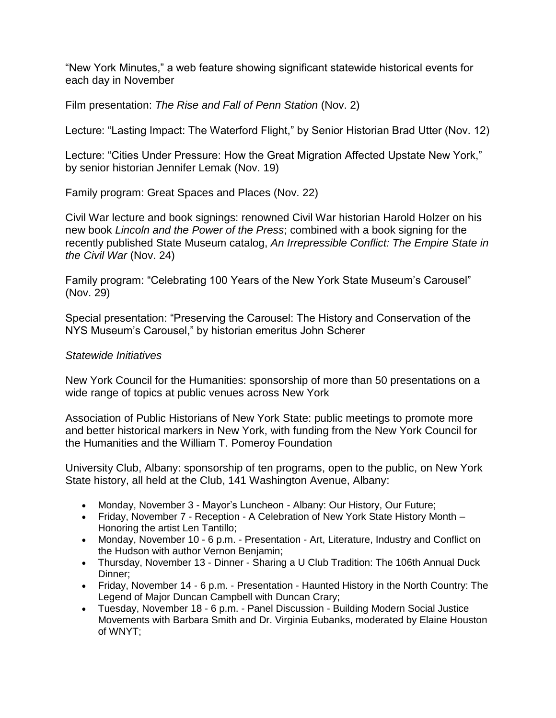"New York Minutes," a web feature showing significant statewide historical events for each day in November

Film presentation: *The Rise and Fall of Penn Station* (Nov. 2)

Lecture: "Lasting Impact: The Waterford Flight," by Senior Historian Brad Utter (Nov. 12)

Lecture: "Cities Under Pressure: How the Great Migration Affected Upstate New York," by senior historian Jennifer Lemak (Nov. 19)

Family program: Great Spaces and Places (Nov. 22)

Civil War lecture and book signings: renowned Civil War historian Harold Holzer on his new book *Lincoln and the Power of the Press*; combined with a book signing for the recently published State Museum catalog, *An Irrepressible Conflict: The Empire State in the Civil War* (Nov. 24)

Family program: "Celebrating 100 Years of the New York State Museum's Carousel" (Nov. 29)

Special presentation: "Preserving the Carousel: The History and Conservation of the NYS Museum's Carousel," by historian emeritus John Scherer

## *Statewide Initiatives*

New York Council for the Humanities: sponsorship of more than 50 presentations on a wide range of topics at public venues across New York

Association of Public Historians of New York State: public meetings to promote more and better historical markers in New York, with funding from the New York Council for the Humanities and the William T. Pomeroy Foundation

University Club, Albany: sponsorship of ten programs, open to the public, on New York State history, all held at the Club, 141 Washington Avenue, Albany:

- Monday, November 3 Mayor's Luncheon Albany: Our History, Our Future;
- Friday, November 7 Reception A Celebration of New York State History Month Honoring the artist Len Tantillo;
- Monday, November 10 6 p.m. Presentation Art, Literature, Industry and Conflict on the Hudson with author Vernon Benjamin;
- Thursday, November 13 Dinner Sharing a U Club Tradition: The 106th Annual Duck Dinner;
- Friday, November 14 6 p.m. Presentation Haunted History in the North Country: The Legend of Major Duncan Campbell with Duncan Crary;
- Tuesday, November 18 6 p.m. Panel Discussion Building Modern Social Justice Movements with Barbara Smith and Dr. Virginia Eubanks, moderated by Elaine Houston of WNYT;